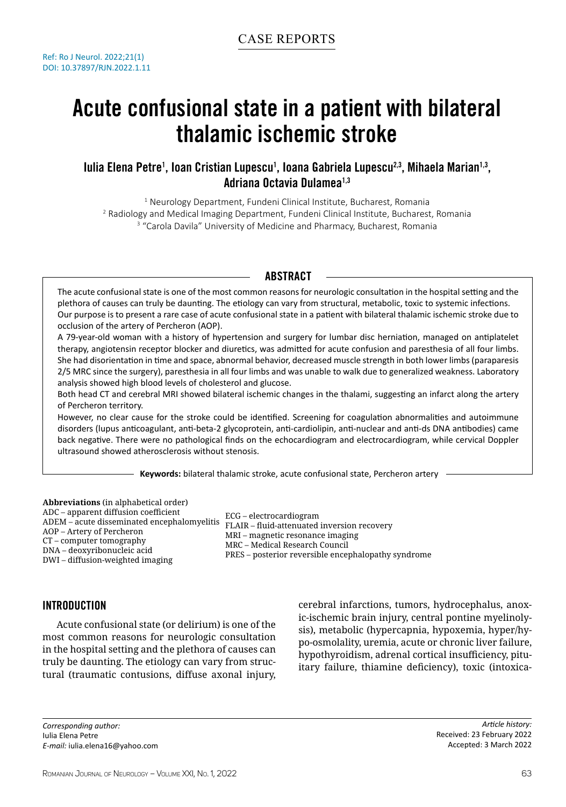# Acute confusional state in a patient with bilateral thalamic ischemic stroke

# lulia Elena Petre<sup>1</sup>, Ioan Cristian Lupescu<sup>1</sup>, Ioana Gabriela Lupescu<sup>2,3</sup>, Mihaela Marian<sup>1,3</sup>, Adriana Octavia Dulamea<sup>1,3</sup>

1 Neurology Department, Fundeni Clinical Institute, Bucharest, Romania 2 Radiology and Medical Imaging Department, Fundeni Clinical Institute, Bucharest, Romania <sup>3</sup> "Carola Davila" University of Medicine and Pharmacy, Bucharest, Romania

# **ABSTRACT**

The acute confusional state is one of the most common reasons for neurologic consultation in the hospital setting and the plethora of causes can truly be daunting. The etiology can vary from structural, metabolic, toxic to systemic infections. Our purpose is to present a rare case of acute confusional state in a patient with bilateral thalamic ischemic stroke due to occlusion of the artery of Percheron (AOP).

A 79-year-old woman with a history of hypertension and surgery for lumbar disc herniation, managed on antiplatelet therapy, angiotensin receptor blocker and diuretics, was admitted for acute confusion and paresthesia of all four limbs. She had disorientation in time and space, abnormal behavior, decreased muscle strength in both lower limbs (paraparesis 2/5 MRC since the surgery), paresthesia in all four limbs and was unable to walk due to generalized weakness. Laboratory analysis showed high blood levels of cholesterol and glucose.

Both head CT and cerebral MRI showed bilateral ischemic changes in the thalami, suggesting an infarct along the artery of Percheron territory.

However, no clear cause for the stroke could be identified. Screening for coagulation abnormalities and autoimmune disorders (lupus anticoagulant, anti-beta-2 glycoprotein, anti-cardiolipin, anti-nuclear and anti-ds DNA antibodies) came back negative. There were no pathological finds on the echocardiogram and electrocardiogram, while cervical Doppler ultrasound showed atherosclerosis without stenosis.

**Keywords:** bilateral thalamic stroke, acute confusional state, Percheron artery

**Abbreviations** (in alphabetical order) ADC – apparent diffusion coefficient ADEM – acute disseminated encephalomyelitis ECG – electrocardiogram AOP – Artery of Percheron CT – computer tomography DNA – deoxyribonucleic acid DWI – diffusion-weighted imaging

FLAIR – fluid-attenuated inversion recovery MRI – magnetic resonance imaging MRC – Medical Research Council PRES – posterior reversible encephalopathy syndrome

# INTRODUCTION

Acute confusional state (or delirium) is one of the most common reasons for neurologic consultation in the hospital setting and the plethora of causes can truly be daunting. The etiology can vary from structural (traumatic contusions, diffuse axonal injury, cerebral infarctions, tumors, hydrocephalus, anoxic-ischemic brain injury, central pontine myelinolysis), metabolic (hypercapnia, hypoxemia, hyper/hypo-osmolality, uremia, acute or chronic liver failure, hypothyroidism, adrenal cortical insufficiency, pituitary failure, thiamine deficiency), toxic (intoxica-

*Corresponding author:* Iulia Elena Petre *E-mail:* iulia.elena16@yahoo.com

*Article history:* Received: 23 February 2022 Accepted: 3 March 2022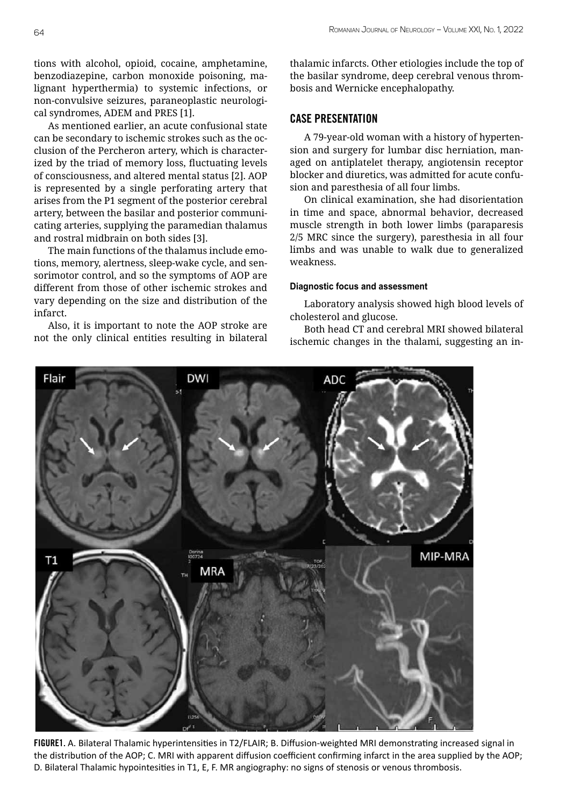tions with alcohol, opioid, cocaine, amphetamine, benzodiazepine, carbon monoxide poisoning, malignant hyperthermia) to systemic infections, or non-convulsive seizures, paraneoplastic neurological syndromes, ADEM and PRES [1].

As mentioned earlier, an acute confusional state can be secondary to ischemic strokes such as the occlusion of the Percheron artery, which is characterized by the triad of memory loss, fluctuating levels of consciousness, and altered mental status [2]. AOP is represented by a single perforating artery that arises from the P1 segment of the posterior cerebral artery, between the basilar and posterior communicating arteries, supplying the paramedian thalamus and rostral midbrain on both sides [3].

The main functions of the thalamus include emotions, memory, alertness, sleep-wake cycle, and sensorimotor control, and so the symptoms of AOP are different from those of other ischemic strokes and vary depending on the size and distribution of the infarct.

Also, it is important to note the AOP stroke are not the only clinical entities resulting in bilateral

thalamic infarcts. Other etiologies include the top of the basilar syndrome, deep cerebral venous thrombosis and Wernicke encephalopathy.

## CASE PRESENTATION

A 79-year-old woman with a history of hypertension and surgery for lumbar disc herniation, managed on antiplatelet therapy, angiotensin receptor blocker and diuretics, was admitted for acute confusion and paresthesia of all four limbs.

On clinical examination, she had disorientation in time and space, abnormal behavior, decreased muscle strength in both lower limbs (paraparesis 2/5 MRC since the surgery), paresthesia in all four limbs and was unable to walk due to generalized weakness.

#### **Diagnostic focus and assessment**

Laboratory analysis showed high blood levels of cholesterol and glucose.

Both head CT and cerebral MRI showed bilateral ischemic changes in the thalami, suggesting an in-



FIGURE1. A. Bilateral Thalamic hyperintensities in T2/FLAIR; B. Diffusion-weighted MRI demonstrating increased signal in the distribution of the AOP; C. MRI with apparent diffusion coefficient confirming infarct in the area supplied by the AOP; D. Bilateral Thalamic hypointesities in T1, E, F. MR angiography: no signs of stenosis or venous thrombosis.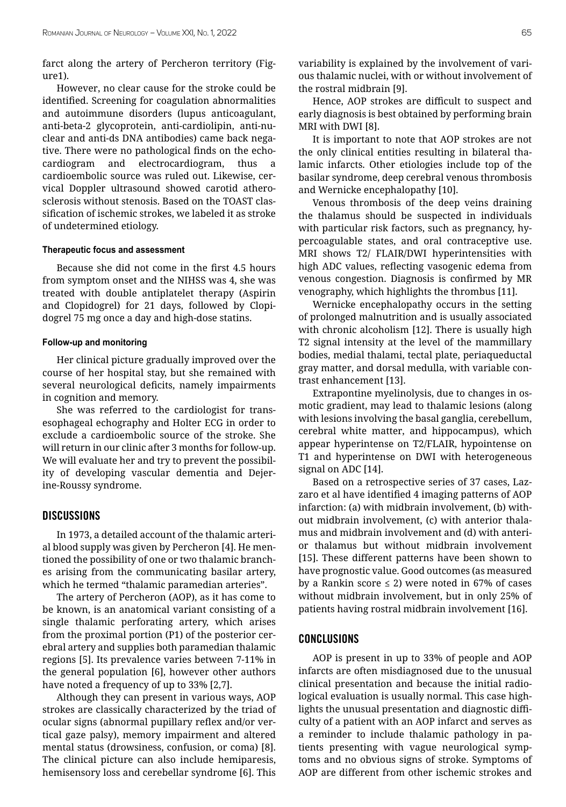farct along the artery of Percheron territory (Figure1).

However, no clear cause for the stroke could be identified. Screening for coagulation abnormalities and autoimmune disorders (lupus anticoagulant, anti-beta-2 glycoprotein, anti-cardiolipin, anti-nuclear and anti-ds DNA antibodies) came back negative. There were no pathological finds on the echocardiogram and electrocardiogram, thus cardioembolic source was ruled out. Likewise, cervical Doppler ultrasound showed carotid atherosclerosis without stenosis. Based on the TOAST classification of ischemic strokes, we labeled it as stroke of undetermined etiology.

#### **Therapeutic focus and assessment**

Because she did not come in the first 4.5 hours from symptom onset and the NIHSS was 4, she was treated with double antiplatelet therapy (Aspirin and Clopidogrel) for 21 days, followed by Clopidogrel 75 mg once a day and high-dose statins.

## **Follow-up and monitoring**

Her clinical picture gradually improved over the course of her hospital stay, but she remained with several neurological deficits, namely impairments in cognition and memory.

She was referred to the cardiologist for transesophageal echography and Holter ECG in order to exclude a cardioembolic source of the stroke. She will return in our clinic after 3 months for follow-up. We will evaluate her and try to prevent the possibility of developing vascular dementia and Dejerine-Roussy syndrome.

# **DISCUSSIONS**

In 1973, a detailed account of the thalamic arterial blood supply was given by Percheron [4]. He mentioned the possibility of one or two thalamic branches arising from the communicating basilar artery, which he termed "thalamic paramedian arteries".

The artery of Percheron (AOP), as it has come to be known, is an anatomical variant consisting of a single thalamic perforating artery, which arises from the proximal portion (P1) of the posterior cerebral artery and supplies both paramedian thalamic regions [5]. Its prevalence varies between 7-11% in the general population [6], however other authors have noted a frequency of up to 33% [2,7].

Although they can present in various ways, AOP strokes are classically characterized by the triad of ocular signs (abnormal pupillary reflex and/or vertical gaze palsy), memory impairment and altered mental status (drowsiness, confusion, or coma) [8]. The clinical picture can also include hemiparesis, hemisensory loss and cerebellar syndrome [6]. This variability is explained by the involvement of various thalamic nuclei, with or without involvement of the rostral midbrain [9].

Hence, AOP strokes are difficult to suspect and early diagnosis is best obtained by performing brain MRI with DWI [8].

It is important to note that AOP strokes are not the only clinical entities resulting in bilateral thalamic infarcts. Other etiologies include top of the basilar syndrome, deep cerebral venous thrombosis and Wernicke encephalopathy [10].

Venous thrombosis of the deep veins draining the thalamus should be suspected in individuals with particular risk factors, such as pregnancy, hypercoagulable states, and oral contraceptive use. MRI shows T2/ FLAIR/DWI hyperintensities with high ADC values, reflecting vasogenic edema from venous congestion. Diagnosis is confirmed by MR venography, which highlights the thrombus [11].

Wernicke encephalopathy occurs in the setting of prolonged malnutrition and is usually associated with chronic alcoholism [12]. There is usually high T2 signal intensity at the level of the mammillary bodies, medial thalami, tectal plate, periaqueductal gray matter, and dorsal medulla, with variable contrast enhancement [13].

Extrapontine myelinolysis, due to changes in osmotic gradient, may lead to thalamic lesions (along with lesions involving the basal ganglia, cerebellum, cerebral white matter, and hippocampus), which appear hyperintense on T2/FLAIR, hypointense on T1 and hyperintense on DWI with heterogeneous signal on ADC [14].

Based on a retrospective series of 37 cases, Lazzaro et al have identified 4 imaging patterns of AOP infarction: (a) with midbrain involvement, (b) without midbrain involvement, (c) with anterior thalamus and midbrain involvement and (d) with anterior thalamus but without midbrain involvement [15]. These different patterns have been shown to have prognostic value. Good outcomes (as measured by a Rankin score  $\leq$  2) were noted in 67% of cases without midbrain involvement, but in only 25% of patients having rostral midbrain involvement [16].

## **CONCLUSIONS**

AOP is present in up to 33% of people and AOP infarcts are often misdiagnosed due to the unusual clinical presentation and because the initial radiological evaluation is usually normal. This case highlights the unusual presentation and diagnostic difficulty of a patient with an AOP infarct and serves as a reminder to include thalamic pathology in patients presenting with vague neurological symptoms and no obvious signs of stroke. Symptoms of AOP are different from other ischemic strokes and